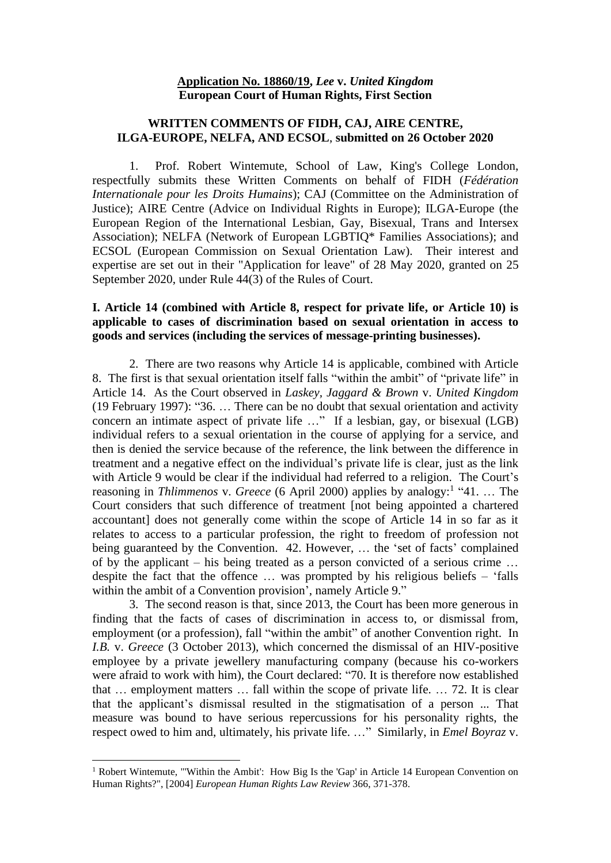#### **Application No. 18860/19,** *Lee* **v.** *United Kingdom* **European Court of Human Rights, First Section**

## **WRITTEN COMMENTS OF FIDH, CAJ, AIRE CENTRE, ILGA-EUROPE, NELFA, AND ECSOL**, **submitted on 26 October 2020**

1. Prof. Robert Wintemute, School of Law, King's College London, respectfully submits these Written Comments on behalf of FIDH (*Fédération Internationale pour les Droits Humains*); CAJ (Committee on the Administration of Justice); AIRE Centre (Advice on Individual Rights in Europe); ILGA-Europe (the European Region of the International Lesbian, Gay, Bisexual, Trans and Intersex Association); NELFA (Network of European LGBTIQ\* Families Associations); and ECSOL (European Commission on Sexual Orientation Law). Their interest and expertise are set out in their "Application for leave" of 28 May 2020, granted on 25 September 2020, under Rule 44(3) of the Rules of Court.

## **I. Article 14 (combined with Article 8, respect for private life, or Article 10) is applicable to cases of discrimination based on sexual orientation in access to goods and services (including the services of message-printing businesses).**

2. There are two reasons why Article 14 is applicable, combined with Article 8. The first is that sexual orientation itself falls "within the ambit" of "private life" in Article 14. As the Court observed in *Laskey, Jaggard & Brown* v. *United Kingdom* (19 February 1997): "36. … There can be no doubt that sexual orientation and activity concern an intimate aspect of private life …" If a lesbian, gay, or bisexual (LGB) individual refers to a sexual orientation in the course of applying for a service, and then is denied the service because of the reference, the link between the difference in treatment and a negative effect on the individual's private life is clear, just as the link with Article 9 would be clear if the individual had referred to a religion. The Court's reasoning in *Thlimmenos* v. *Greece* (6 April 2000) applies by analogy:<sup>1</sup> "41. ... The Court considers that such difference of treatment [not being appointed a chartered accountant] does not generally come within the scope of Article 14 in so far as it relates to access to a particular profession, the right to freedom of profession not being guaranteed by the Convention. 42. However, … the 'set of facts' complained of by the applicant – his being treated as a person convicted of a serious crime … despite the fact that the offence … was prompted by his religious beliefs – 'falls within the ambit of a Convention provision', namely Article 9."

3. The second reason is that, since 2013, the Court has been more generous in finding that the facts of cases of discrimination in access to, or dismissal from, employment (or a profession), fall "within the ambit" of another Convention right. In *I.B.* v. *Greece* (3 October 2013), which concerned the dismissal of an HIV-positive employee by a private jewellery manufacturing company (because his co-workers were afraid to work with him), the Court declared: "70. It is therefore now established that … employment matters … fall within the scope of private life. … 72. It is clear that the applicant's dismissal resulted in the stigmatisation of a person ... That measure was bound to have serious repercussions for his personality rights, the respect owed to him and, ultimately, his private life. …" Similarly, in *Emel Boyraz* v.

<sup>&</sup>lt;sup>1</sup> Robert Wintemute, "'Within the Ambit': How Big Is the 'Gap' in Article 14 European Convention on Human Rights?", [2004] *European Human Rights Law Review* 366, 371-378.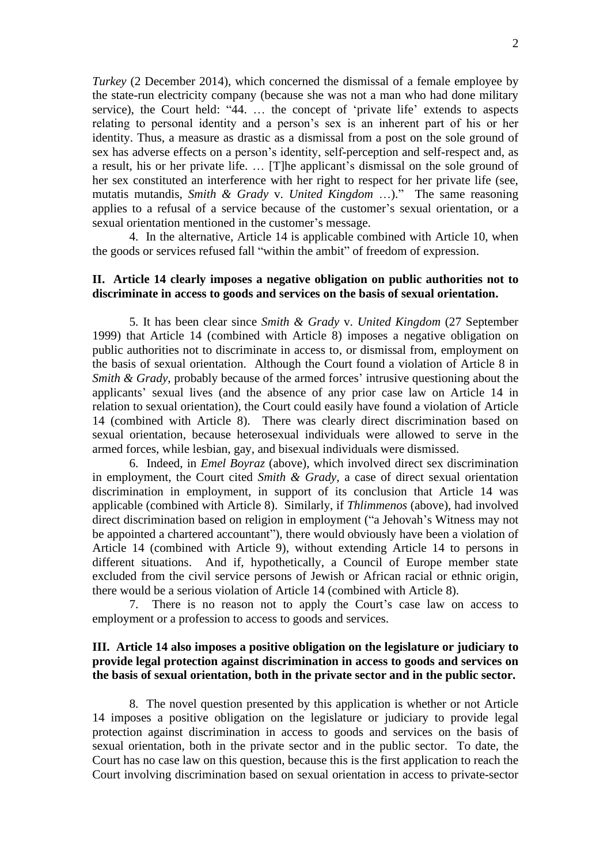*Turkey* (2 December 2014), which concerned the dismissal of a female employee by the state-run electricity company (because she was not a man who had done military service), the Court held: "44. … the concept of 'private life' extends to aspects relating to personal identity and a person's sex is an inherent part of his or her identity. Thus, a measure as drastic as a dismissal from a post on the sole ground of sex has adverse effects on a person's identity, self-perception and self-respect and, as a result, his or her private life. … [T]he applicant's dismissal on the sole ground of her sex constituted an interference with her right to respect for her private life (see, mutatis mutandis, *Smith & Grady* v. *United Kingdom* …)." The same reasoning applies to a refusal of a service because of the customer's sexual orientation, or a sexual orientation mentioned in the customer's message.

4. In the alternative, Article 14 is applicable combined with Article 10, when the goods or services refused fall "within the ambit" of freedom of expression.

#### **II. Article 14 clearly imposes a negative obligation on public authorities not to discriminate in access to goods and services on the basis of sexual orientation.**

5. It has been clear since *Smith & Grady* v. *United Kingdom* (27 September 1999) that Article 14 (combined with Article 8) imposes a negative obligation on public authorities not to discriminate in access to, or dismissal from, employment on the basis of sexual orientation. Although the Court found a violation of Article 8 in *Smith & Grady*, probably because of the armed forces' intrusive questioning about the applicants' sexual lives (and the absence of any prior case law on Article 14 in relation to sexual orientation), the Court could easily have found a violation of Article 14 (combined with Article 8). There was clearly direct discrimination based on sexual orientation, because heterosexual individuals were allowed to serve in the armed forces, while lesbian, gay, and bisexual individuals were dismissed.

6. Indeed, in *Emel Boyraz* (above), which involved direct sex discrimination in employment, the Court cited *Smith & Grady*, a case of direct sexual orientation discrimination in employment, in support of its conclusion that Article 14 was applicable (combined with Article 8). Similarly, if *Thlimmenos* (above), had involved direct discrimination based on religion in employment ("a Jehovah's Witness may not be appointed a chartered accountant"), there would obviously have been a violation of Article 14 (combined with Article 9), without extending Article 14 to persons in different situations. And if, hypothetically, a Council of Europe member state excluded from the civil service persons of Jewish or African racial or ethnic origin, there would be a serious violation of Article 14 (combined with Article 8).

7. There is no reason not to apply the Court's case law on access to employment or a profession to access to goods and services.

## **III. Article 14 also imposes a positive obligation on the legislature or judiciary to provide legal protection against discrimination in access to goods and services on the basis of sexual orientation, both in the private sector and in the public sector.**

8. The novel question presented by this application is whether or not Article 14 imposes a positive obligation on the legislature or judiciary to provide legal protection against discrimination in access to goods and services on the basis of sexual orientation, both in the private sector and in the public sector. To date, the Court has no case law on this question, because this is the first application to reach the Court involving discrimination based on sexual orientation in access to private-sector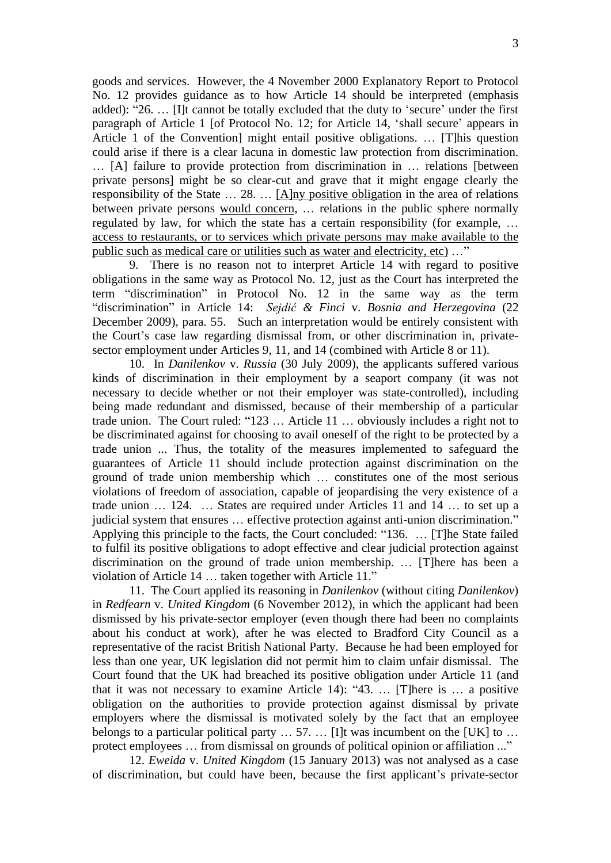goods and services. However, the 4 November 2000 Explanatory Report to Protocol No. 12 provides guidance as to how Article 14 should be interpreted (emphasis added): "26. … [I]t cannot be totally excluded that the duty to 'secure' under the first paragraph of Article 1 [of Protocol No. 12; for Article 14, 'shall secure' appears in Article 1 of the Convention] might entail positive obligations. … [T]his question could arise if there is a clear lacuna in domestic law protection from discrimination. … [A] failure to provide protection from discrimination in … relations [between private persons] might be so clear-cut and grave that it might engage clearly the responsibility of the State … 28. … [A]ny positive obligation in the area of relations between private persons would concern, … relations in the public sphere normally regulated by law, for which the state has a certain responsibility (for example, … access to restaurants, or to services which private persons may make available to the public such as medical care or utilities such as water and electricity, etc) …"

9. There is no reason not to interpret Article 14 with regard to positive obligations in the same way as Protocol No. 12, just as the Court has interpreted the term "discrimination" in Protocol No. 12 in the same way as the term "discrimination" in Article 14: *Sejdić & Finci* v. *Bosnia and Herzegovina* (22 December 2009), para. 55. Such an interpretation would be entirely consistent with the Court's case law regarding dismissal from, or other discrimination in, privatesector employment under Articles 9, 11, and 14 (combined with Article 8 or 11).

10. In *Danilenkov* v. *Russia* (30 July 2009), the applicants suffered various kinds of discrimination in their employment by a seaport company (it was not necessary to decide whether or not their employer was state-controlled), including being made redundant and dismissed, because of their membership of a particular trade union. The Court ruled: "123 … Article 11 … obviously includes a right not to be discriminated against for choosing to avail oneself of the right to be protected by a trade union ... Thus, the totality of the measures implemented to safeguard the guarantees of Article 11 should include protection against discrimination on the ground of trade union membership which … constitutes one of the most serious violations of freedom of association, capable of jeopardising the very existence of a trade union … 124. … States are required under Articles 11 and 14 … to set up a judicial system that ensures … effective protection against anti-union discrimination." Applying this principle to the facts, the Court concluded: "136. … [T]he State failed to fulfil its positive obligations to adopt effective and clear judicial protection against discrimination on the ground of trade union membership. … [T]here has been a violation of Article 14 … taken together with Article 11."

11. The Court applied its reasoning in *Danilenkov* (without citing *Danilenkov*) in *Redfearn* v. *United Kingdom* (6 November 2012), in which the applicant had been dismissed by his private-sector employer (even though there had been no complaints about his conduct at work), after he was elected to Bradford City Council as a representative of the racist British National Party. Because he had been employed for less than one year, UK legislation did not permit him to claim unfair dismissal. The Court found that the UK had breached its positive obligation under Article 11 (and that it was not necessary to examine Article 14): "43. … [T]here is … a positive obligation on the authorities to provide protection against dismissal by private employers where the dismissal is motivated solely by the fact that an employee belongs to a particular political party  $\dots$  57.  $\dots$  [I]t was incumbent on the [UK] to  $\dots$ protect employees … from dismissal on grounds of political opinion or affiliation ..."

12. *Eweida* v. *United Kingdom* (15 January 2013) was not analysed as a case of discrimination, but could have been, because the first applicant's private-sector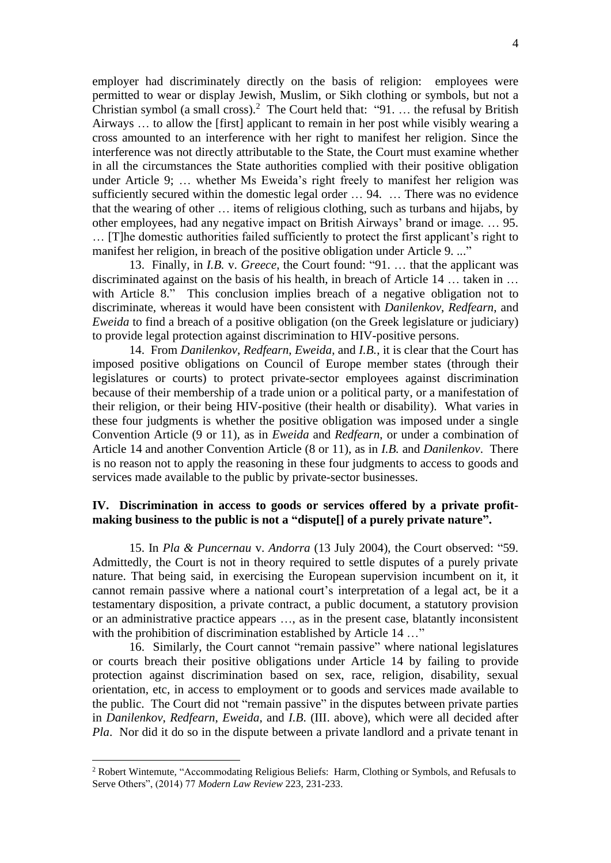employer had discriminately directly on the basis of religion: employees were permitted to wear or display Jewish, Muslim, or Sikh clothing or symbols, but not a Christian symbol (a small cross).<sup>2</sup> The Court held that: "91. ... the refusal by British Airways … to allow the [first] applicant to remain in her post while visibly wearing a cross amounted to an interference with her right to manifest her religion. Since the interference was not directly attributable to the State, the Court must examine whether in all the circumstances the State authorities complied with their positive obligation under Article 9; … whether Ms Eweida's right freely to manifest her religion was sufficiently secured within the domestic legal order … 94. … There was no evidence that the wearing of other … items of religious clothing, such as turbans and hijabs, by other employees, had any negative impact on British Airways' brand or image. … 95. … [T]he domestic authorities failed sufficiently to protect the first applicant's right to manifest her religion, in breach of the positive obligation under Article 9. ..."

13. Finally, in *I.B.* v. *Greece*, the Court found: "91. … that the applicant was discriminated against on the basis of his health, in breach of Article 14 … taken in … with Article 8." This conclusion implies breach of a negative obligation not to discriminate, whereas it would have been consistent with *Danilenkov*, *Redfearn*, and *Eweida* to find a breach of a positive obligation (on the Greek legislature or judiciary) to provide legal protection against discrimination to HIV-positive persons.

14. From *Danilenkov*, *Redfearn*, *Eweida*, and *I.B.*, it is clear that the Court has imposed positive obligations on Council of Europe member states (through their legislatures or courts) to protect private-sector employees against discrimination because of their membership of a trade union or a political party, or a manifestation of their religion, or their being HIV-positive (their health or disability). What varies in these four judgments is whether the positive obligation was imposed under a single Convention Article (9 or 11), as in *Eweida* and *Redfearn*, or under a combination of Article 14 and another Convention Article (8 or 11), as in *I.B.* and *Danilenkov*. There is no reason not to apply the reasoning in these four judgments to access to goods and services made available to the public by private-sector businesses.

## **IV. Discrimination in access to goods or services offered by a private profitmaking business to the public is not a "dispute[] of a purely private nature".**

15. In *Pla & Puncernau* v. *Andorra* (13 July 2004), the Court observed: "59. Admittedly, the Court is not in theory required to settle disputes of a purely private nature. That being said, in exercising the European supervision incumbent on it, it cannot remain passive where a national court's interpretation of a legal act, be it a testamentary disposition, a private contract, a public document, a statutory provision or an administrative practice appears …, as in the present case, blatantly inconsistent with the prohibition of discrimination established by Article 14 ..."

16. Similarly, the Court cannot "remain passive" where national legislatures or courts breach their positive obligations under Article 14 by failing to provide protection against discrimination based on sex, race, religion, disability, sexual orientation, etc, in access to employment or to goods and services made available to the public. The Court did not "remain passive" in the disputes between private parties in *Danilenkov*, *Redfearn*, *Eweida*, and *I.B*. (III. above), which were all decided after *Pla*. Nor did it do so in the dispute between a private landlord and a private tenant in

<sup>&</sup>lt;sup>2</sup> Robert Wintemute, "Accommodating Religious Beliefs: Harm, Clothing or Symbols, and Refusals to Serve Others", (2014) 77 *Modern Law Review* 223, 231-233.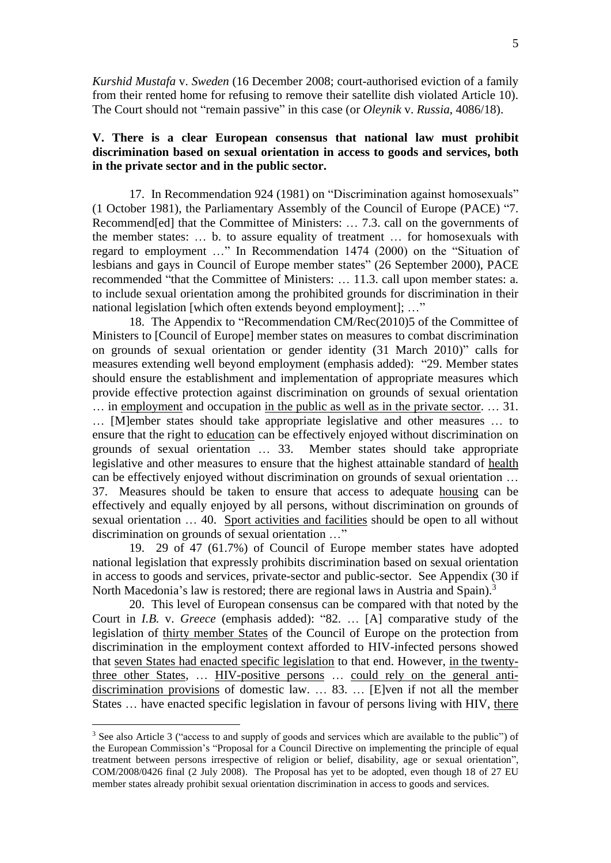*Kurshid Mustafa* v. *Sweden* (16 December 2008; court-authorised eviction of a family from their rented home for refusing to remove their satellite dish violated Article 10). The Court should not "remain passive" in this case (or *Oleynik* v. *Russia*, 4086/18).

## **V. There is a clear European consensus that national law must prohibit discrimination based on sexual orientation in access to goods and services, both in the private sector and in the public sector.**

17. In Recommendation 924 (1981) on "Discrimination against homosexuals" (1 October 1981), the Parliamentary Assembly of the Council of Europe (PACE) "7. Recommend[ed] that the Committee of Ministers: … 7.3. call on the governments of the member states: … b. to assure equality of treatment … for homosexuals with regard to employment …" In Recommendation 1474 (2000) on the "Situation of lesbians and gays in Council of Europe member states" (26 September 2000), PACE recommended "that the Committee of Ministers: … 11.3. call upon member states: a. to include sexual orientation among the prohibited grounds for discrimination in their national legislation [which often extends beyond employment]; ..."

18. The Appendix to "Recommendation CM/Rec(2010)5 of the Committee of Ministers to [Council of Europe] member states on measures to combat discrimination on grounds of sexual orientation or gender identity (31 March 2010)" calls for measures extending well beyond employment (emphasis added): "29. Member states should ensure the establishment and implementation of appropriate measures which provide effective protection against discrimination on grounds of sexual orientation … in employment and occupation in the public as well as in the private sector. … 31. … [M]ember states should take appropriate legislative and other measures … to ensure that the right to education can be effectively enjoyed without discrimination on grounds of sexual orientation … 33. Member states should take appropriate legislative and other measures to ensure that the highest attainable standard of health can be effectively enjoyed without discrimination on grounds of sexual orientation … 37. Measures should be taken to ensure that access to adequate housing can be effectively and equally enjoyed by all persons, without discrimination on grounds of sexual orientation … 40. Sport activities and facilities should be open to all without discrimination on grounds of sexual orientation …"

19. 29 of 47 (61.7%) of Council of Europe member states have adopted national legislation that expressly prohibits discrimination based on sexual orientation in access to goods and services, private-sector and public-sector. See Appendix (30 if North Macedonia's law is restored; there are regional laws in Austria and Spain).<sup>3</sup>

20. This level of European consensus can be compared with that noted by the Court in *I.B.* v. *Greece* (emphasis added): "82. … [A] comparative study of the legislation of thirty member States of the Council of Europe on the protection from discrimination in the employment context afforded to HIV-infected persons showed that seven States had enacted specific legislation to that end. However, in the twentythree other States, … HIV-positive persons … could rely on the general antidiscrimination provisions of domestic law. … 83. … [E]ven if not all the member States … have enacted specific legislation in favour of persons living with HIV, there

<sup>3</sup> See also Article 3 ("access to and supply of goods and services which are available to the public") of the European Commission's "Proposal for a Council Directive on implementing the principle of equal treatment between persons irrespective of religion or belief, disability, age or sexual orientation", COM/2008/0426 final (2 July 2008). The Proposal has yet to be adopted, even though 18 of 27 EU member states already prohibit sexual orientation discrimination in access to goods and services.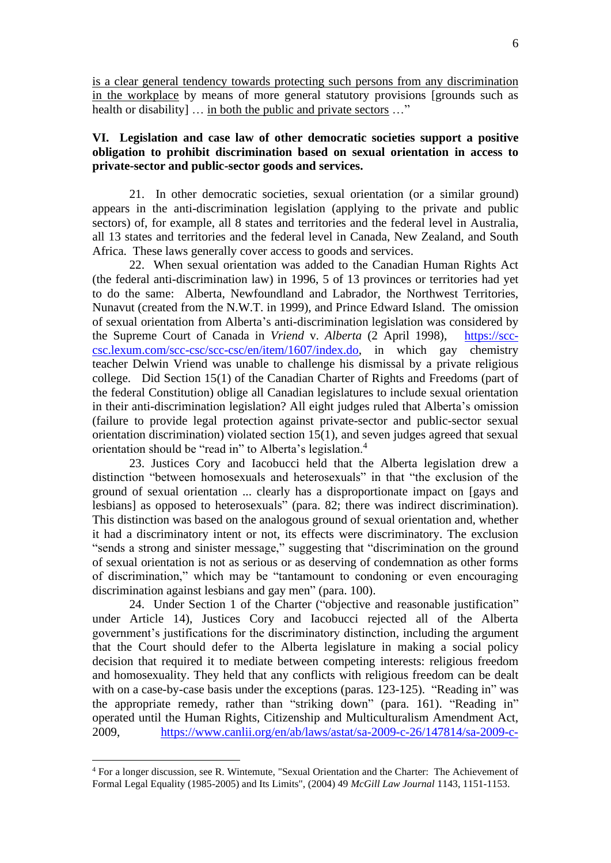is a clear general tendency towards protecting such persons from any discrimination in the workplace by means of more general statutory provisions [grounds such as health or disability]  $\ldots$  in both the public and private sectors  $\ldots$ "

## **VI. Legislation and case law of other democratic societies support a positive obligation to prohibit discrimination based on sexual orientation in access to private-sector and public-sector goods and services.**

21. In other democratic societies, sexual orientation (or a similar ground) appears in the anti-discrimination legislation (applying to the private and public sectors) of, for example, all 8 states and territories and the federal level in Australia, all 13 states and territories and the federal level in Canada, New Zealand, and South Africa. These laws generally cover access to goods and services.

22. When sexual orientation was added to the Canadian Human Rights Act (the federal anti-discrimination law) in 1996, 5 of 13 provinces or territories had yet to do the same: Alberta, Newfoundland and Labrador, the Northwest Territories, Nunavut (created from the N.W.T. in 1999), and Prince Edward Island. The omission of sexual orientation from Alberta's anti-discrimination legislation was considered by the Supreme Court of Canada in *Vriend* v. *Alberta* (2 April 1998), [https://scc](https://scc-csc.lexum.com/scc-csc/scc-csc/en/item/1607/index.do)[csc.lexum.com/scc-csc/scc-csc/en/item/1607/index.do,](https://scc-csc.lexum.com/scc-csc/scc-csc/en/item/1607/index.do) in which gay chemistry teacher Delwin Vriend was unable to challenge his dismissal by a private religious college. Did Section 15(1) of the Canadian Charter of Rights and Freedoms (part of the federal Constitution) oblige all Canadian legislatures to include sexual orientation in their anti-discrimination legislation? All eight judges ruled that Alberta's omission (failure to provide legal protection against private-sector and public-sector sexual orientation discrimination) violated section 15(1), and seven judges agreed that sexual orientation should be "read in" to Alberta's legislation.<sup>4</sup>

23. Justices Cory and Iacobucci held that the Alberta legislation drew a distinction "between homosexuals and heterosexuals" in that "the exclusion of the ground of sexual orientation ... clearly has a disproportionate impact on [gays and lesbians] as opposed to heterosexuals" (para. 82; there was indirect discrimination). This distinction was based on the analogous ground of sexual orientation and, whether it had a discriminatory intent or not, its effects were discriminatory. The exclusion "sends a strong and sinister message," suggesting that "discrimination on the ground of sexual orientation is not as serious or as deserving of condemnation as other forms of discrimination," which may be "tantamount to condoning or even encouraging discrimination against lesbians and gay men" (para. 100).

24. Under Section 1 of the Charter ("objective and reasonable justification" under Article 14), Justices Cory and Iacobucci rejected all of the Alberta government's justifications for the discriminatory distinction, including the argument that the Court should defer to the Alberta legislature in making a social policy decision that required it to mediate between competing interests: religious freedom and homosexuality. They held that any conflicts with religious freedom can be dealt with on a case-by-case basis under the exceptions (paras. 123-125). "Reading in" was the appropriate remedy, rather than "striking down" (para. 161). "Reading in" operated until the Human Rights, Citizenship and Multiculturalism Amendment Act, 2009, [https://www.canlii.org/en/ab/laws/astat/sa-2009-c-26/147814/sa-2009-c-](https://www.canlii.org/en/ab/laws/astat/sa-2009-c-26/147814/sa-2009-c-26.html)

<sup>4</sup> For a longer discussion, see R. Wintemute, "Sexual Orientation and the Charter: The Achievement of Formal Legal Equality (1985-2005) and Its Limits", (2004) 49 *McGill Law Journal* 1143, 1151-1153.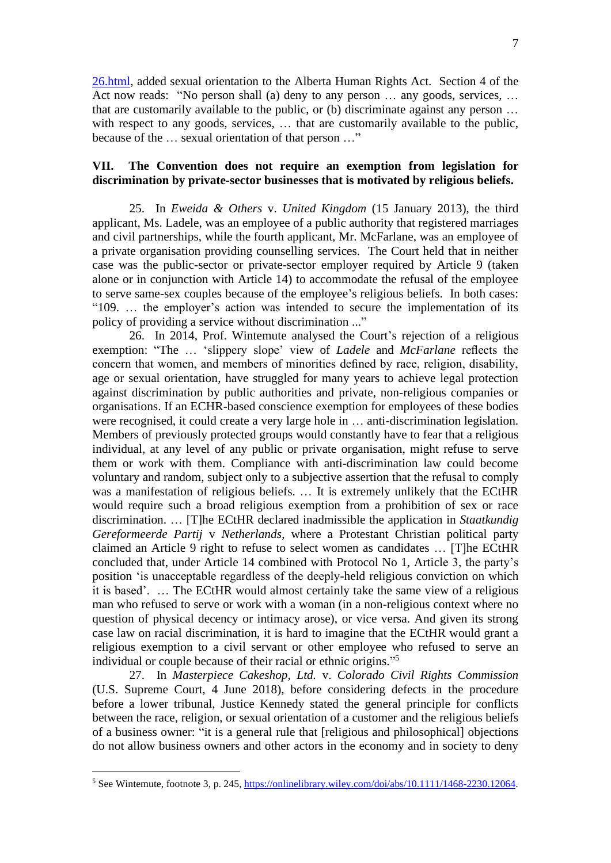[26.html,](https://www.canlii.org/en/ab/laws/astat/sa-2009-c-26/147814/sa-2009-c-26.html) added sexual orientation to the Alberta Human Rights Act. Section 4 of the Act now reads: "No person shall (a) deny to any person ... any goods, services, ... that are customarily available to the public, or (b) discriminate against any person … with respect to any goods, services, ... that are customarily available to the public, because of the … sexual orientation of that person …"

# **VII. The Convention does not require an exemption from legislation for discrimination by private-sector businesses that is motivated by religious beliefs.**

25. In *Eweida & Others* v. *United Kingdom* (15 January 2013), the third applicant, Ms. Ladele, was an employee of a public authority that registered marriages and civil partnerships, while the fourth applicant, Mr. McFarlane, was an employee of a private organisation providing counselling services. The Court held that in neither case was the public-sector or private-sector employer required by Article 9 (taken alone or in conjunction with Article 14) to accommodate the refusal of the employee to serve same-sex couples because of the employee's religious beliefs. In both cases: "109. … the employer's action was intended to secure the implementation of its policy of providing a service without discrimination ..."

26. In 2014, Prof. Wintemute analysed the Court's rejection of a religious exemption: "The … 'slippery slope' view of *Ladele* and *McFarlane* reflects the concern that women, and members of minorities defined by race, religion, disability, age or sexual orientation, have struggled for many years to achieve legal protection against discrimination by public authorities and private, non-religious companies or organisations. If an ECHR-based conscience exemption for employees of these bodies were recognised, it could create a very large hole in … anti-discrimination legislation. Members of previously protected groups would constantly have to fear that a religious individual, at any level of any public or private organisation, might refuse to serve them or work with them. Compliance with anti-discrimination law could become voluntary and random, subject only to a subjective assertion that the refusal to comply was a manifestation of religious beliefs. … It is extremely unlikely that the ECtHR would require such a broad religious exemption from a prohibition of sex or race discrimination. … [T]he ECtHR declared inadmissible the application in *Staatkundig Gereformeerde Partij* v *Netherlands*, where a Protestant Christian political party claimed an Article 9 right to refuse to select women as candidates … [T]he ECtHR concluded that, under Article 14 combined with Protocol No 1, Article 3, the party's position 'is unacceptable regardless of the deeply-held religious conviction on which it is based'. … The ECtHR would almost certainly take the same view of a religious man who refused to serve or work with a woman (in a non-religious context where no question of physical decency or intimacy arose), or vice versa. And given its strong case law on racial discrimination, it is hard to imagine that the ECtHR would grant a religious exemption to a civil servant or other employee who refused to serve an individual or couple because of their racial or ethnic origins."<sup>5</sup>

27. In *Masterpiece Cakeshop, Ltd.* v. *Colorado Civil Rights Commission* (U.S. Supreme Court, 4 June 2018), before considering defects in the procedure before a lower tribunal, Justice Kennedy stated the general principle for conflicts between the race, religion, or sexual orientation of a customer and the religious beliefs of a business owner: "it is a general rule that [religious and philosophical] objections do not allow business owners and other actors in the economy and in society to deny

<sup>5</sup> See Wintemute, footnote 3, p. 245, [https://onlinelibrary.wiley.com/doi/abs/10.1111/1468-2230.12064.](https://onlinelibrary.wiley.com/doi/abs/10.1111/1468-2230.12064)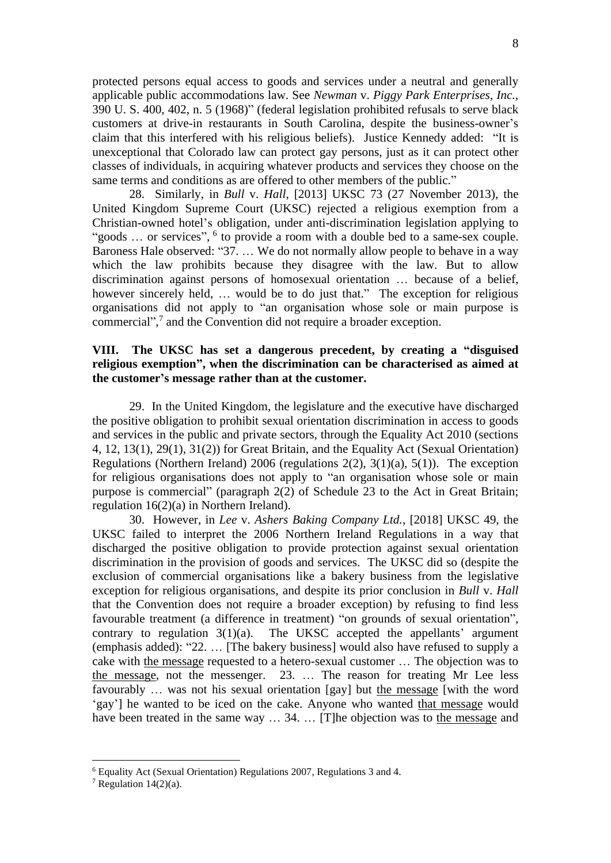protected persons equal access to goods and services under a neutral and generally applicable public accommodations law. See *Newman* v. *Piggy Park Enterprises, Inc.*, 390 U. S. 400, 402, n. 5 (1968)" (federal legislation prohibited refusals to serve black customers at drive-in restaurants in South Carolina, despite the business-owner's claim that this interfered with his religious beliefs). Justice Kennedy added: "It is unexceptional that Colorado law can protect gay persons, just as it can protect other classes of individuals, in acquiring whatever products and services they choose on the same terms and conditions as are offered to other members of the public."

28. Similarly, in *Bull* v. *Hall*, [2013] UKSC 73 (27 November 2013), the United Kingdom Supreme Court (UKSC) rejected a religious exemption from a Christian-owned hotel's obligation, under anti-discrimination legislation applying to "goods ... or services", <sup>6</sup> to provide a room with a double bed to a same-sex couple. Baroness Hale observed: "37. … We do not normally allow people to behave in a way which the law prohibits because they disagree with the law. But to allow discrimination against persons of homosexual orientation … because of a belief, however sincerely held, … would be to do just that." The exception for religious organisations did not apply to "an organisation whose sole or main purpose is commercial", 7 and the Convention did not require a broader exception.

# **VIII. The UKSC has set a dangerous precedent, by creating a "disguised religious exemption", when the discrimination can be characterised as aimed at the customer's message rather than at the customer.**

29. In the United Kingdom, the legislature and the executive have discharged the positive obligation to prohibit sexual orientation discrimination in access to goods and services in the public and private sectors, through the Equality Act 2010 (sections 4, 12, 13(1), 29(1), 31(2)) for Great Britain, and the Equality Act (Sexual Orientation) Regulations (Northern Ireland) 2006 (regulations 2(2), 3(1)(a), 5(1)). The exception for religious organisations does not apply to "an organisation whose sole or main purpose is commercial" (paragraph 2(2) of Schedule 23 to the Act in Great Britain; regulation 16(2)(a) in Northern Ireland).

30. However, in *Lee* v. *Ashers Baking Company Ltd.*, [2018] UKSC 49, the UKSC failed to interpret the 2006 Northern Ireland Regulations in a way that discharged the positive obligation to provide protection against sexual orientation discrimination in the provision of goods and services. The UKSC did so (despite the exclusion of commercial organisations like a bakery business from the legislative exception for religious organisations, and despite its prior conclusion in *Bull* v. *Hall* that the Convention does not require a broader exception) by refusing to find less favourable treatment (a difference in treatment) "on grounds of sexual orientation", contrary to regulation  $3(1)(a)$ . The UKSC accepted the appellants' argument (emphasis added): "22. … [The bakery business] would also have refused to supply a cake with the message requested to a hetero-sexual customer … The objection was to the message, not the messenger. 23. … The reason for treating Mr Lee less favourably … was not his sexual orientation [gay] but the message [with the word 'gay'] he wanted to be iced on the cake. Anyone who wanted that message would have been treated in the same way  $\dots$  34.  $\dots$  [T]he objection was to the message and

<sup>6</sup> Equality Act (Sexual Orientation) Regulations 2007, Regulations 3 and 4.

<sup>&</sup>lt;sup>7</sup> Regulation  $14(2)(a)$ .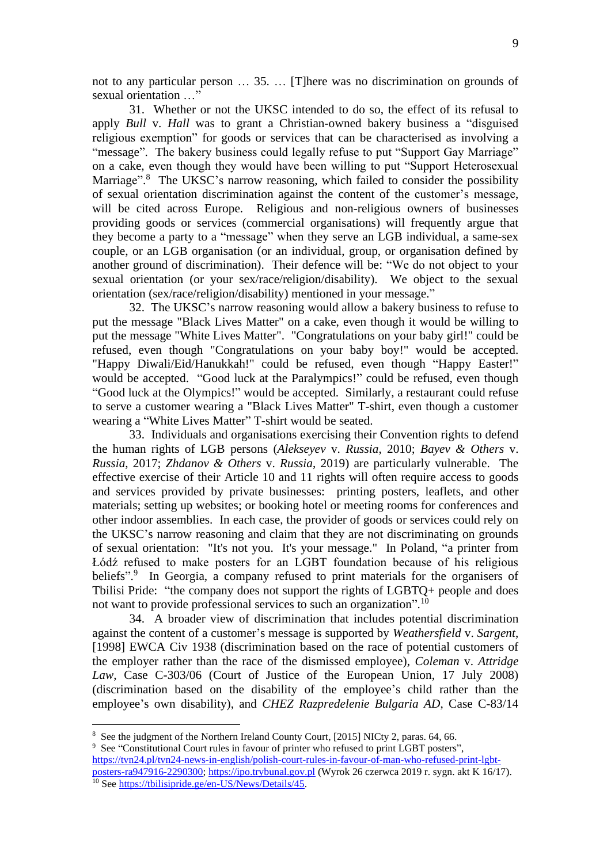not to any particular person … 35. … [T]here was no discrimination on grounds of sexual orientation …"

31. Whether or not the UKSC intended to do so, the effect of its refusal to apply *Bull* v. *Hall* was to grant a Christian-owned bakery business a "disguised religious exemption" for goods or services that can be characterised as involving a "message". The bakery business could legally refuse to put "Support Gay Marriage" on a cake, even though they would have been willing to put "Support Heterosexual Marriage".<sup>8</sup> The UKSC's narrow reasoning, which failed to consider the possibility of sexual orientation discrimination against the content of the customer's message, will be cited across Europe. Religious and non-religious owners of businesses providing goods or services (commercial organisations) will frequently argue that they become a party to a "message" when they serve an LGB individual, a same-sex couple, or an LGB organisation (or an individual, group, or organisation defined by another ground of discrimination). Their defence will be: "We do not object to your sexual orientation (or your sex/race/religion/disability). We object to the sexual orientation (sex/race/religion/disability) mentioned in your message."

32. The UKSC's narrow reasoning would allow a bakery business to refuse to put the message "Black Lives Matter" on a cake, even though it would be willing to put the message "White Lives Matter". "Congratulations on your baby girl!" could be refused, even though "Congratulations on your baby boy!" would be accepted. "Happy Diwali/Eid/Hanukkah!" could be refused, even though "Happy Easter!" would be accepted. "Good luck at the Paralympics!" could be refused, even though "Good luck at the Olympics!" would be accepted. Similarly, a restaurant could refuse to serve a customer wearing a "Black Lives Matter" T-shirt, even though a customer wearing a "White Lives Matter" T-shirt would be seated.

33. Individuals and organisations exercising their Convention rights to defend the human rights of LGB persons (*Alekseyev* v. *Russia*, 2010; *Bayev & Others* v. *Russia*, 2017; *Zhdanov & Others* v. *Russia*, 2019) are particularly vulnerable. The effective exercise of their Article 10 and 11 rights will often require access to goods and services provided by private businesses: printing posters, leaflets, and other materials; setting up websites; or booking hotel or meeting rooms for conferences and other indoor assemblies. In each case, the provider of goods or services could rely on the UKSC's narrow reasoning and claim that they are not discriminating on grounds of sexual orientation: "It's not you. It's your message." In Poland, "a printer from Łódź refused to make posters for an LGBT foundation because of his religious beliefs".<sup>9</sup> In Georgia, a company refused to print materials for the organisers of Tbilisi Pride: "the company does not support the rights of LGBTQ+ people and does not want to provide professional services to such an organization".<sup>10</sup>

34. A broader view of discrimination that includes potential discrimination against the content of a customer's message is supported by *Weathersfield* v. *Sargent*, [1998] EWCA Civ 1938 (discrimination based on the race of potential customers of the employer rather than the race of the dismissed employee), *Coleman* v. *Attridge Law*, Case C-303/06 (Court of Justice of the European Union, 17 July 2008) (discrimination based on the disability of the employee's child rather than the employee's own disability), and *CHEZ Razpredelenie Bulgaria AD*, Case C-83/14

<sup>9</sup> See "Constitutional Court rules in favour of printer who refused to print LGBT posters", [https://tvn24.pl/tvn24-news-in-english/polish-court-rules-in-favour-of-man-who-refused-print-lgbt-](https://tvn24.pl/tvn24-news-in-english/polish-court-rules-in-favour-of-man-who-refused-print-lgbt-posters-ra947916-2290300)

[posters-ra947916-2290300;](https://tvn24.pl/tvn24-news-in-english/polish-court-rules-in-favour-of-man-who-refused-print-lgbt-posters-ra947916-2290300) [https://ipo.trybunal.gov.pl](https://ipo.trybunal.gov.pl/) (Wyrok 26 czerwca 2019 r. sygn. akt K 16/17). <sup>10</sup> See [https://tbilisipride.ge/en-US/News/Details/45.](https://tbilisipride.ge/en-US/News/Details/45)

<sup>&</sup>lt;sup>8</sup> See the judgment of the Northern Ireland County Court, [2015] NICty 2, paras. 64, 66.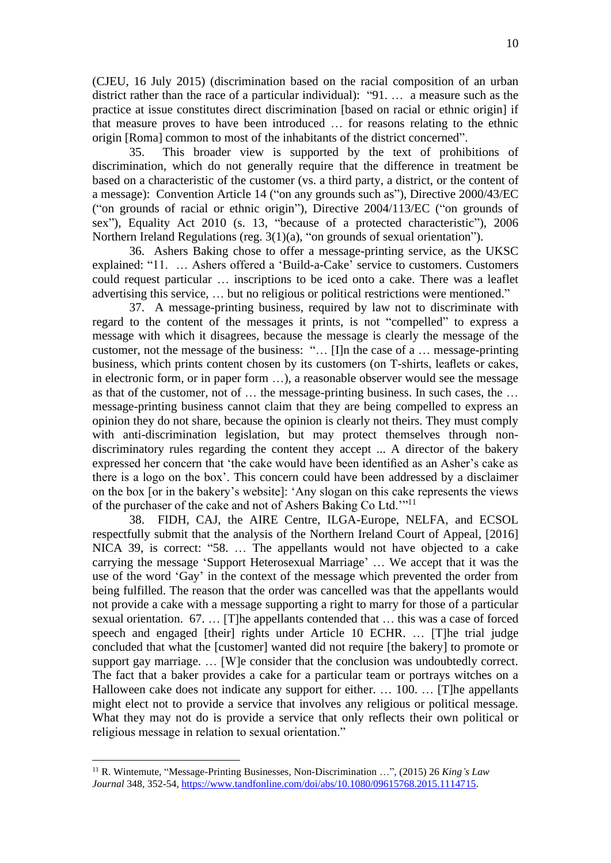(CJEU, 16 July 2015) (discrimination based on the racial composition of an urban district rather than the race of a particular individual): "91. … a measure such as the practice at issue constitutes direct discrimination [based on racial or ethnic origin] if that measure proves to have been introduced … for reasons relating to the ethnic origin [Roma] common to most of the inhabitants of the district concerned".

35. This broader view is supported by the text of prohibitions of discrimination, which do not generally require that the difference in treatment be based on a characteristic of the customer (vs. a third party, a district, or the content of a message): Convention Article 14 ("on any grounds such as"), Directive 2000/43/EC ("on grounds of racial or ethnic origin"), Directive 2004/113/EC ("on grounds of sex"), Equality Act 2010 (s. 13, "because of a protected characteristic"), 2006 Northern Ireland Regulations (reg. 3(1)(a), "on grounds of sexual orientation").

36. Ashers Baking chose to offer a message-printing service, as the UKSC explained: "11. … Ashers offered a 'Build-a-Cake' service to customers. Customers could request particular … inscriptions to be iced onto a cake. There was a leaflet advertising this service, … but no religious or political restrictions were mentioned."

37. A message-printing business, required by law not to discriminate with regard to the content of the messages it prints, is not "compelled" to express a message with which it disagrees, because the message is clearly the message of the customer, not the message of the business: "… [I]n the case of a … message-printing business, which prints content chosen by its customers (on T-shirts, leaflets or cakes, in electronic form, or in paper form …), a reasonable observer would see the message as that of the customer, not of … the message-printing business. In such cases, the … message-printing business cannot claim that they are being compelled to express an opinion they do not share, because the opinion is clearly not theirs. They must comply with anti-discrimination legislation, but may protect themselves through nondiscriminatory rules regarding the content they accept ... A director of the bakery expressed her concern that 'the cake would have been identified as an Asher's cake as there is a logo on the box'. This concern could have been addressed by a disclaimer on the box [or in the bakery's website]: 'Any slogan on this cake represents the views of the purchaser of the cake and not of Ashers Baking Co Ltd."<sup>11</sup>

38. FIDH, CAJ, the AIRE Centre, ILGA-Europe, NELFA, and ECSOL respectfully submit that the analysis of the Northern Ireland Court of Appeal, [2016] NICA 39, is correct: "58. … The appellants would not have objected to a cake carrying the message 'Support Heterosexual Marriage' … We accept that it was the use of the word 'Gay' in the context of the message which prevented the order from being fulfilled. The reason that the order was cancelled was that the appellants would not provide a cake with a message supporting a right to marry for those of a particular sexual orientation. 67. … [T]he appellants contended that … this was a case of forced speech and engaged [their] rights under Article 10 ECHR. ... [T]he trial judge concluded that what the [customer] wanted did not require [the bakery] to promote or support gay marriage. … [W]e consider that the conclusion was undoubtedly correct. The fact that a baker provides a cake for a particular team or portrays witches on a Halloween cake does not indicate any support for either. … 100. … [T]he appellants might elect not to provide a service that involves any religious or political message. What they may not do is provide a service that only reflects their own political or religious message in relation to sexual orientation."

<sup>11</sup> R. Wintemute, "Message-Printing Businesses, Non-Discrimination …", (2015) 26 *King's Law Journal* 348, 352-54, [https://www.tandfonline.com/doi/abs/10.1080/09615768.2015.1114715.](https://www.tandfonline.com/doi/abs/10.1080/09615768.2015.1114715)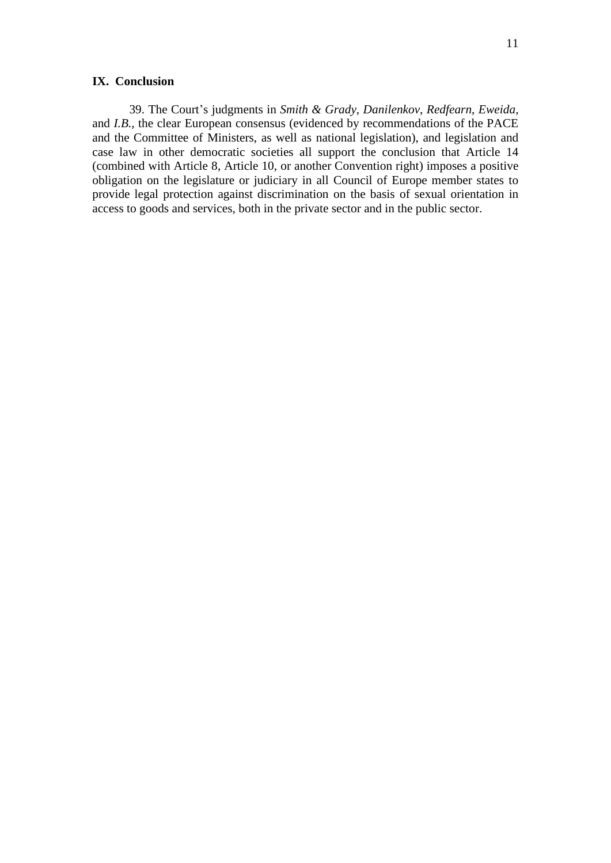#### **IX. Conclusion**

39. The Court's judgments in *Smith & Grady, Danilenkov*, *Redfearn*, *Eweida*, and *I.B.*, the clear European consensus (evidenced by recommendations of the PACE and the Committee of Ministers, as well as national legislation), and legislation and case law in other democratic societies all support the conclusion that Article 14 (combined with Article 8, Article 10, or another Convention right) imposes a positive obligation on the legislature or judiciary in all Council of Europe member states to provide legal protection against discrimination on the basis of sexual orientation in access to goods and services, both in the private sector and in the public sector.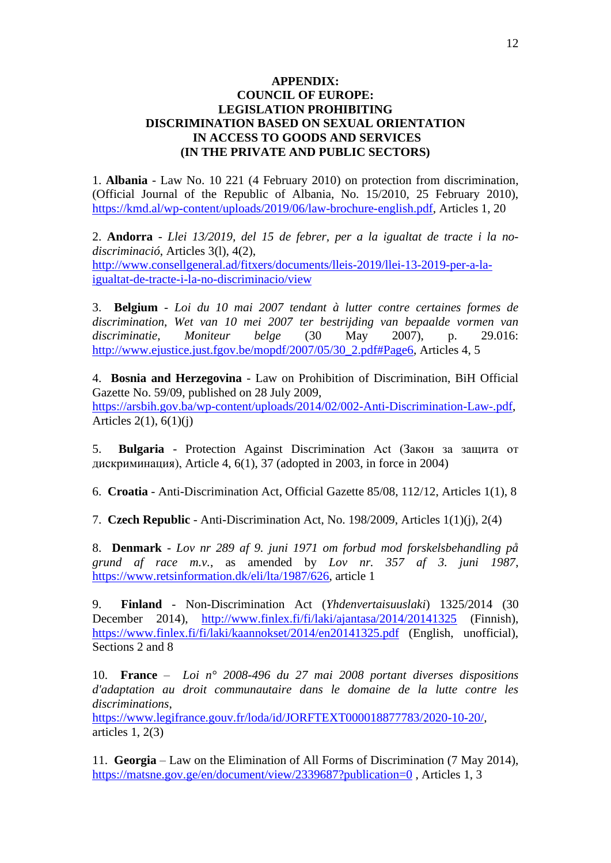## **APPENDIX: COUNCIL OF EUROPE: LEGISLATION PROHIBITING DISCRIMINATION BASED ON SEXUAL ORIENTATION IN ACCESS TO GOODS AND SERVICES (IN THE PRIVATE AND PUBLIC SECTORS)**

1. **Albania** - Law No. 10 221 (4 February 2010) on protection from discrimination, (Official Journal of the Republic of Albania, No. 15/2010, 25 February 2010), [https://kmd.al/wp-content/uploads/2019/06/law-brochure-english.pdf,](https://kmd.al/wp-content/uploads/2019/06/law-brochure-english.pdf) Articles 1, 20

2. **Andorra** - *Llei 13/2019, del 15 de febrer, per a la igualtat de tracte i la nodiscriminació*, Articles 3(l), 4(2), [http://www.consellgeneral.ad/fitxers/documents/lleis-2019/llei-13-2019-per-a-la](http://www.consellgeneral.ad/fitxers/documents/lleis-2019/llei-13-2019-per-a-la-igualtat-de-tracte-i-la-no-discriminacio/view)[igualtat-de-tracte-i-la-no-discriminacio/view](http://www.consellgeneral.ad/fitxers/documents/lleis-2019/llei-13-2019-per-a-la-igualtat-de-tracte-i-la-no-discriminacio/view)

3. **Belgium** - *Loi du 10 mai 2007 tendant à lutter contre certaines formes de discrimination*, *Wet van 10 mei 2007 ter bestrijding van bepaalde vormen van discriminatie*, *Moniteur belge* (30 May 2007), p. 29.016: [http://www.ejustice.just.fgov.be/mopdf/2007/05/30\\_2.pdf#Page6,](http://www.ejustice.just.fgov.be/mopdf/2007/05/30_2.pdf#Page6) Articles 4, 5

4. **Bosnia and Herzegovina** - Law on Prohibition of Discrimination, BiH Official Gazette No. 59/09, published on 28 July 2009, [https://arsbih.gov.ba/wp-content/uploads/2014/02/002-Anti-Discrimination-Law-.pdf,](https://arsbih.gov.ba/wp-content/uploads/2014/02/002-Anti-Discrimination-Law-.pdf) Articles 2(1), 6(1)(j)

5. **Bulgaria** - Protection Against Discrimination Act (Закон за защита от дискриминация), Article 4, 6(1), 37 (adopted in 2003, in force in 2004)

6. **Croatia** - Anti-Discrimination Act, Official Gazette 85/08, 112/12, Articles 1(1), 8

7. **Czech Republic** - Anti-Discrimination Act, No. 198/2009, Articles 1(1)(j), 2(4)

8. **Denmark** - *Lov nr 289 af 9. juni 1971 om forbud mod forskelsbehandling på grund af race m.v.*, as amended by *Lov nr. 357 af 3. juni 1987*, [https://www.retsinformation.dk/eli/lta/1987/626,](https://www.retsinformation.dk/eli/lta/1987/626) article 1

9. **Finland** - Non-Discrimination Act (*Yhdenvertaisuuslaki*) 1325/2014 (30 December 2014), <http://www.finlex.fi/fi/laki/ajantasa/2014/20141325> (Finnish), <https://www.finlex.fi/fi/laki/kaannokset/2014/en20141325.pdf> (English, unofficial), Sections 2 and 8

10. **France** – *Loi n° 2008-496 du 27 mai 2008 portant diverses dispositions d'adaptation au droit communautaire dans le domaine de la lutte contre les discriminations*,

[https://www.legifrance.gouv.fr/loda/id/JORFTEXT000018877783/2020-10-20/,](https://www.legifrance.gouv.fr/loda/id/JORFTEXT000018877783/2020-10-20/) articles  $1, 2(3)$ 

11. **Georgia** – Law on the Elimination of All Forms of Discrimination (7 May 2014), <https://matsne.gov.ge/en/document/view/2339687?publication=0> , Articles 1, 3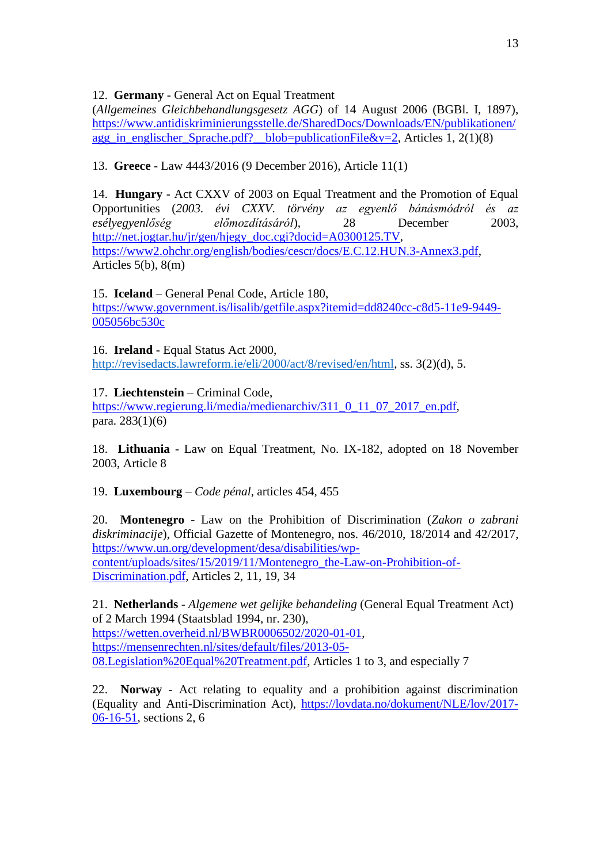12. **Germany** - General Act on Equal Treatment

(*Allgemeines Gleichbehandlungsgesetz AGG*) of 14 August 2006 (BGBl. I, 1897), [https://www.antidiskriminierungsstelle.de/SharedDocs/Downloads/EN/publikationen/](https://www.antidiskriminierungsstelle.de/SharedDocs/Downloads/EN/publikationen/agg_in_englischer_Sprache.pdf?__blob=publicationFile&v=2) [agg\\_in\\_englischer\\_Sprache.pdf?\\_\\_blob=publicationFile&v=2,](https://www.antidiskriminierungsstelle.de/SharedDocs/Downloads/EN/publikationen/agg_in_englischer_Sprache.pdf?__blob=publicationFile&v=2) Articles 1, 2(1)(8)

13. **Greece** - Law 4443/2016 (9 December 2016), Article 11(1)

14. **Hungary** - Act CXXV of 2003 on Equal Treatment and the Promotion of Equal Opportunities (*2003. évi CXXV. törvény az egyenlő bánásmódról és az esélyegyenlőség előmozdításáról*), 28 December 2003, [http://net.jogtar.hu/jr/gen/hjegy\\_doc.cgi?docid=A0300125.TV,](http://net.jogtar.hu/jr/gen/hjegy_doc.cgi?docid=A0300125.TV) [https://www2.ohchr.org/english/bodies/cescr/docs/E.C.12.HUN.3-Annex3.pdf,](https://www2.ohchr.org/english/bodies/cescr/docs/E.C.12.HUN.3-Annex3.pdf) Articles 5(b), 8(m)

# 15. **Iceland** – General Penal Code, Article 180,

[https://www.government.is/lisalib/getfile.aspx?itemid=dd8240cc-c8d5-11e9-9449-](https://www.government.is/lisalib/getfile.aspx?itemid=dd8240cc-c8d5-11e9-9449-005056bc530c) [005056bc530c](https://www.government.is/lisalib/getfile.aspx?itemid=dd8240cc-c8d5-11e9-9449-005056bc530c)

16. **Ireland** - Equal Status Act 2000,

[http://revisedacts.lawreform.ie/eli/2000/act/8/revised/en/html,](http://revisedacts.lawreform.ie/eli/2000/act/8/revised/en/html) ss. 3(2)(d), 5.

17. **Liechtenstein** – Criminal Code,

[https://www.regierung.li/media/medienarchiv/311\\_0\\_11\\_07\\_2017\\_en.pdf,](https://www.regierung.li/media/medienarchiv/311_0_11_07_2017_en.pdf) para. 283(1)(6)

18. **Lithuania** - Law on Equal Treatment, No. IX-182, adopted on 18 November 2003, Article 8

19. **Luxembourg** – *Code pénal*, articles 454, 455

20. **Montenegro** - Law on the Prohibition of Discrimination (*Zakon o zabrani diskriminacije*), Official Gazette of Montenegro, nos. 46/2010, 18/2014 and 42/2017, [https://www.un.org/development/desa/disabilities/wp](https://www.un.org/development/desa/disabilities/wp-content/uploads/sites/15/2019/11/Montenegro_the-Law-on-Prohibition-of-Discrimination.pdf)[content/uploads/sites/15/2019/11/Montenegro\\_the-Law-on-Prohibition-of-](https://www.un.org/development/desa/disabilities/wp-content/uploads/sites/15/2019/11/Montenegro_the-Law-on-Prohibition-of-Discrimination.pdf)[Discrimination.pdf,](https://www.un.org/development/desa/disabilities/wp-content/uploads/sites/15/2019/11/Montenegro_the-Law-on-Prohibition-of-Discrimination.pdf) Articles 2, 11, 19, 34

21. **Netherlands** - *Algemene wet gelijke behandeling* (General Equal Treatment Act) of 2 March 1994 (Staatsblad 1994, nr. 230), [https://wetten.overheid.nl/BWBR0006502/2020-01-01,](https://wetten.overheid.nl/BWBR0006502/2020-01-01) [https://mensenrechten.nl/sites/default/files/2013-05-](https://mensenrechten.nl/sites/default/files/2013-05-08.Legislation%20Equal%20Treatment.pdf) [08.Legislation%20Equal%20Treatment.pdf,](https://mensenrechten.nl/sites/default/files/2013-05-08.Legislation%20Equal%20Treatment.pdf) Articles 1 to 3, and especially 7

22. **Norway** - Act relating to equality and a prohibition against discrimination (Equality and Anti-Discrimination Act), [https://lovdata.no/dokument/NLE/lov/2017-](https://lovdata.no/dokument/NLE/lov/2017-06-16-51) [06-16-51,](https://lovdata.no/dokument/NLE/lov/2017-06-16-51) sections 2, 6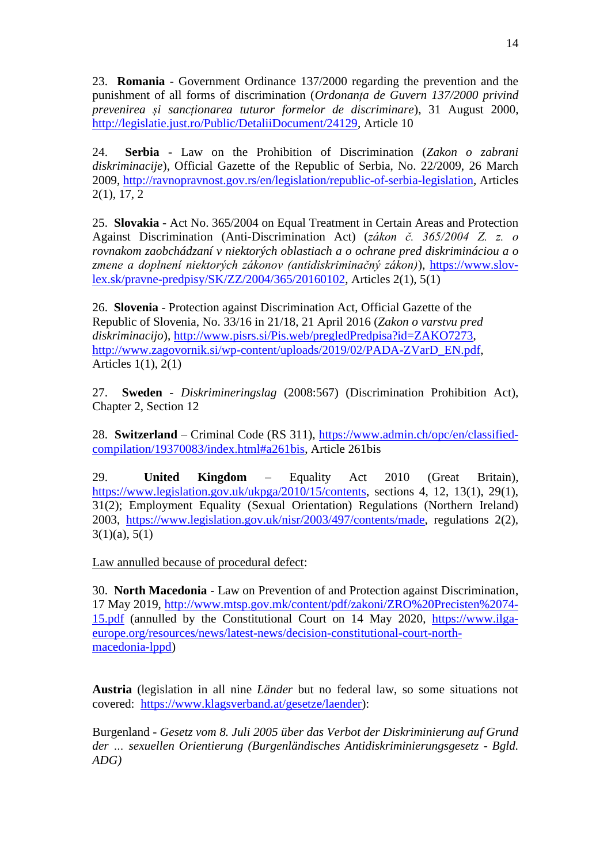23. **Romania** - Government Ordinance 137/2000 regarding the prevention and the punishment of all forms of discrimination (*Ordonanța de Guvern 137/2000 privind prevenirea și sancționarea tuturor formelor de discriminare*), 31 August 2000, [http://legislatie.just.ro/Public/DetaliiDocument/24129,](http://legislatie.just.ro/Public/DetaliiDocument/24129) Article 10

24. **Serbia** - Law on the Prohibition of Discrimination (*Zakon o zabrani diskriminacije*), Official Gazette of the Republic of Serbia, No. 22/2009, 26 March 2009, [http://ravnopravnost.gov.rs/en/legislation/republic-of-serbia-legislation,](http://ravnopravnost.gov.rs/en/legislation/republic-of-serbia-legislation) Articles 2(1), 17, 2

25. **Slovakia** - Act No. 365/2004 on Equal Treatment in Certain Areas and Protection Against Discrimination (Anti-Discrimination Act) (*zákon č. 365/2004 Z. z. o rovnakom zaobchádzaní v niektorých oblastiach a o ochrane pred diskrimináciou a o zmene a doplnení niektorých zákonov (antidiskriminačný zákon)*), [https://www.slov](https://www.slov-lex.sk/pravne-predpisy/SK/ZZ/2004/365/20160102)[lex.sk/pravne-predpisy/SK/ZZ/2004/365/20160102,](https://www.slov-lex.sk/pravne-predpisy/SK/ZZ/2004/365/20160102) Articles 2(1), 5(1)

26. **Slovenia** - Protection against Discrimination Act, Official Gazette of the Republic of Slovenia, No. 33/16 in 21/18, 21 April 2016 (*Zakon o varstvu pred diskriminacijo*), [http://www.pisrs.si/Pis.web/pregledPredpisa?id=ZAKO7273,](http://www.pisrs.si/Pis.web/pregledPredpisa?id=ZAKO7273) [http://www.zagovornik.si/wp-content/uploads/2019/02/PADA-ZVarD\\_EN.pdf,](http://www.zagovornik.si/wp-content/uploads/2019/02/PADA-ZVarD_EN.pdf) Articles 1(1), 2(1)

27. **Sweden** - *Diskrimineringslag* (2008:567) (Discrimination Prohibition Act), Chapter 2, Section 12

28. **Switzerland** – Criminal Code (RS 311), [https://www.admin.ch/opc/en/classified](https://www.admin.ch/opc/en/classified-compilation/19370083/index.html#a261bis)[compilation/19370083/index.html#a261bis,](https://www.admin.ch/opc/en/classified-compilation/19370083/index.html#a261bis) Article 261bis

29. **United Kingdom** – Equality Act 2010 (Great Britain), [https://www.legislation.gov.uk/ukpga/2010/15/contents,](https://www.legislation.gov.uk/ukpga/2010/15/contents) sections 4, 12, 13(1), 29(1), 31(2); Employment Equality (Sexual Orientation) Regulations (Northern Ireland) 2003, [https://www.legislation.gov.uk/nisr/2003/497/contents/made,](https://www.legislation.gov.uk/nisr/2003/497/contents/made) regulations 2(2),  $3(1)(a)$ ,  $5(1)$ 

Law annulled because of procedural defect:

30. **North Macedonia** - Law on Prevention of and Protection against Discrimination, 17 May 2019, [http://www.mtsp.gov.mk/content/pdf/zakoni/ZRO%20Precisten%2074-](http://www.mtsp.gov.mk/content/pdf/zakoni/ZRO%20Precisten%2074-15.pdf) [15.pdf](http://www.mtsp.gov.mk/content/pdf/zakoni/ZRO%20Precisten%2074-15.pdf) (annulled by the Constitutional Court on 14 May 2020, [https://www.ilga](https://www.ilga-europe.org/resources/news/latest-news/decision-constitutional-court-north-macedonia-lppd)[europe.org/resources/news/latest-news/decision-constitutional-court-north](https://www.ilga-europe.org/resources/news/latest-news/decision-constitutional-court-north-macedonia-lppd)[macedonia-lppd\)](https://www.ilga-europe.org/resources/news/latest-news/decision-constitutional-court-north-macedonia-lppd)

**Austria** (legislation in all nine *Länder* but no federal law, so some situations not covered: [https://www.klagsverband.at/gesetze/laender\)](https://www.klagsverband.at/gesetze/laender):

Burgenland - *Gesetz vom 8. Juli 2005 über das Verbot der Diskriminierung auf Grund der … sexuellen Orientierung (Burgenländisches Antidiskriminierungsgesetz - Bgld. ADG)*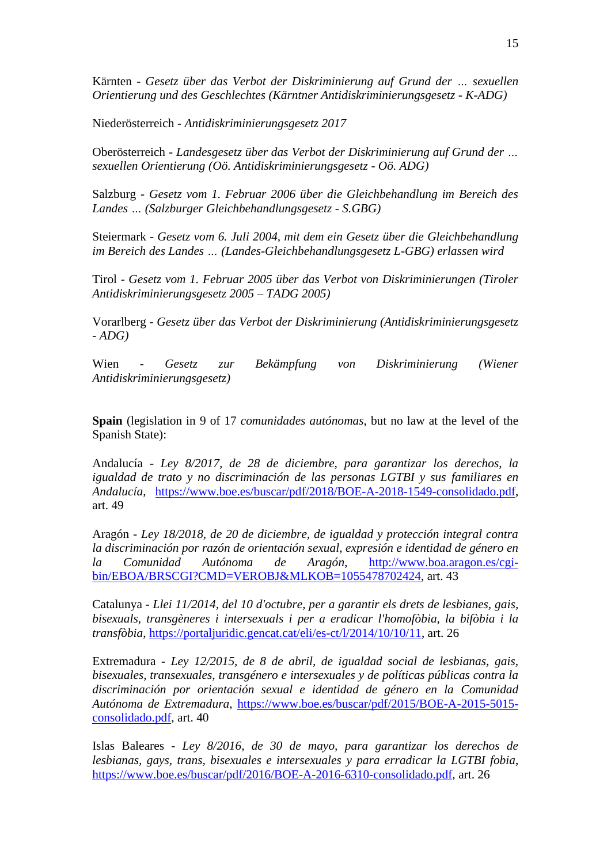Kärnten - *Gesetz über das Verbot der Diskriminierung auf Grund der … sexuellen Orientierung und des Geschlechtes (Kärntner Antidiskriminierungsgesetz - K-ADG)*

Niederösterreich - *Antidiskriminierungsgesetz 2017*

Oberösterreich - *Landesgesetz über das Verbot der Diskriminierung auf Grund der … sexuellen Orientierung (Oö. Antidiskriminierungsgesetz - Oö. ADG)*

Salzburg - *Gesetz vom 1. Februar 2006 über die Gleichbehandlung im Bereich des Landes … (Salzburger Gleichbehandlungsgesetz - S.GBG)*

Steiermark - *Gesetz vom 6. Juli 2004, mit dem ein Gesetz über die Gleichbehandlung im Bereich des Landes … (Landes-Gleichbehandlungsgesetz L-GBG) erlassen wird*

Tirol - *Gesetz vom 1. Februar 2005 über das Verbot von Diskriminierungen (Tiroler Antidiskriminierungsgesetz 2005 – TADG 2005)*

Vorarlberg - *Gesetz über das Verbot der Diskriminierung (Antidiskriminierungsgesetz - ADG)*

Wien - *Gesetz zur Bekämpfung von Diskriminierung (Wiener Antidiskriminierungsgesetz)*

**Spain** (legislation in 9 of 17 *comunidades autónomas*, but no law at the level of the Spanish State):

Andalucía - *Ley 8/2017, de 28 de diciembre, para garantizar los derechos, la igualdad de trato y no discriminación de las personas LGTBI y sus familiares en Andalucía*, [https://www.boe.es/buscar/pdf/2018/BOE-A-2018-1549-consolidado.pdf,](https://www.boe.es/buscar/pdf/2018/BOE-A-2018-1549-consolidado.pdf) art. 49

Aragón - *Ley 18/2018, de 20 de diciembre, de igualdad y protección integral contra la discriminación por razón de orientación sexual, expresión e identidad de género en la Comunidad Autónoma de Aragón*, [http://www.boa.aragon.es/cgi](http://www.boa.aragon.es/cgi-bin/EBOA/BRSCGI?CMD=VEROBJ&MLKOB=1055478702424)[bin/EBOA/BRSCGI?CMD=VEROBJ&MLKOB=1055478702424,](http://www.boa.aragon.es/cgi-bin/EBOA/BRSCGI?CMD=VEROBJ&MLKOB=1055478702424) art. 43

Catalunya - *Llei 11/2014, del 10 d'octubre, per a garantir els drets de lesbianes, gais, bisexuals, transgèneres i intersexuals i per a eradicar l'homofòbia, la bifòbia i la transfòbia*, [https://portaljuridic.gencat.cat/eli/es-ct/l/2014/10/10/11,](https://portaljuridic.gencat.cat/eli/es-ct/l/2014/10/10/11) art. 26

Extremadura - *Ley 12/2015, de 8 de abril, de igualdad social de lesbianas, gais, bisexuales, transexuales, transgénero e intersexuales y de políticas públicas contra la discriminación por orientación sexual e identidad de género en la Comunidad Autónoma de Extremadura*, [https://www.boe.es/buscar/pdf/2015/BOE-A-2015-5015](https://www.boe.es/buscar/pdf/2015/BOE-A-2015-5015-consolidado.pdf) [consolidado.pdf,](https://www.boe.es/buscar/pdf/2015/BOE-A-2015-5015-consolidado.pdf) art. 40

Islas Baleares - *Ley 8/2016, de 30 de mayo, para garantizar los derechos de lesbianas, gays, trans, bisexuales e intersexuales y para erradicar la LGTBI fobia*, [https://www.boe.es/buscar/pdf/2016/BOE-A-2016-6310-consolidado.pdf,](https://www.boe.es/buscar/pdf/2016/BOE-A-2016-6310-consolidado.pdf) art. 26